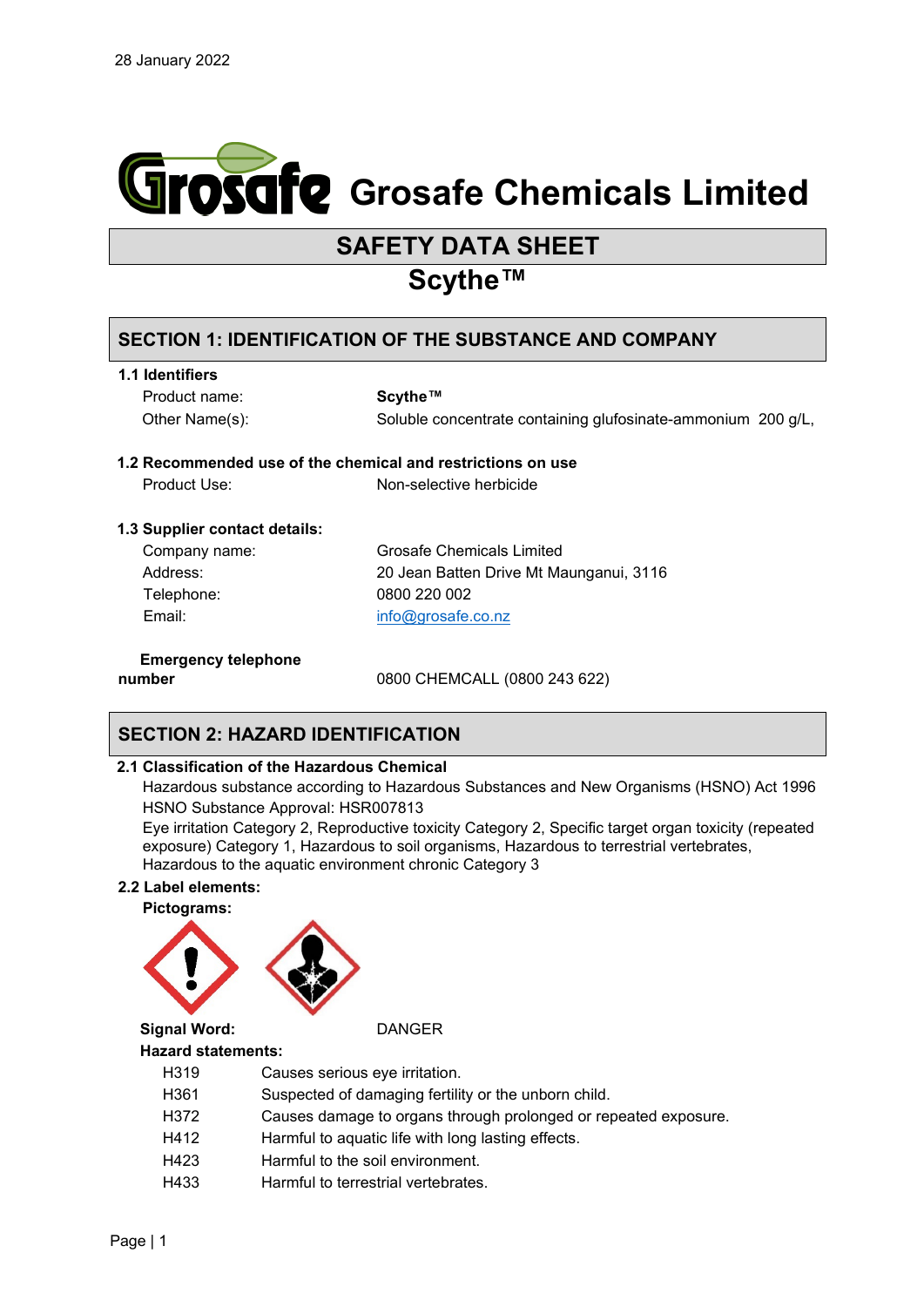

# **SAFETY DATA SHEET**

# **Scythe™**

## **SECTION 1: IDENTIFICATION OF THE SUBSTANCE AND COMPANY**

Product name: **Scythe™**

Other Name(s): Soluble concentrate containing glufosinate-ammonium 200 g/L,

## **1.2 Recommended use of the chemical and restrictions on use**

Product Use: Non-selective herbicide

## **1.3 Supplier contact details:**

| Company name: |
|---------------|
| Address:      |
| Telephone:    |
| Email:        |

Grosafe Chemicals Limited 20 Jean Batten Drive Mt Maunganui, 3116 0800 220 002 [info@grosafe.co.nz](mailto:info@grosafe.co.nz)

**Emergency telephone** 

**number** 0800 CHEMCALL (0800 243 622)

# **SECTION 2: HAZARD IDENTIFICATION**

## **2.1 Classification of the Hazardous Chemical**

Hazardous substance according to Hazardous Substances and New Organisms (HSNO) Act 1996 HSNO Substance Approval: HSR007813

Eye irritation Category 2, Reproductive toxicity Category 2, Specific target organ toxicity (repeated exposure) Category 1, Hazardous to soil organisms, Hazardous to terrestrial vertebrates, Hazardous to the aquatic environment chronic Category 3

## **2.2 Label elements:**



## **Hazard statements:**

- H319 Causes serious eye irritation.
- H361 Suspected of damaging fertility or the unborn child.
- H372 Causes damage to organs through prolonged or repeated exposure.
- H412 Harmful to aquatic life with long lasting effects.
- H423 Harmful to the soil environment.
- H433 Harmful to terrestrial vertebrates.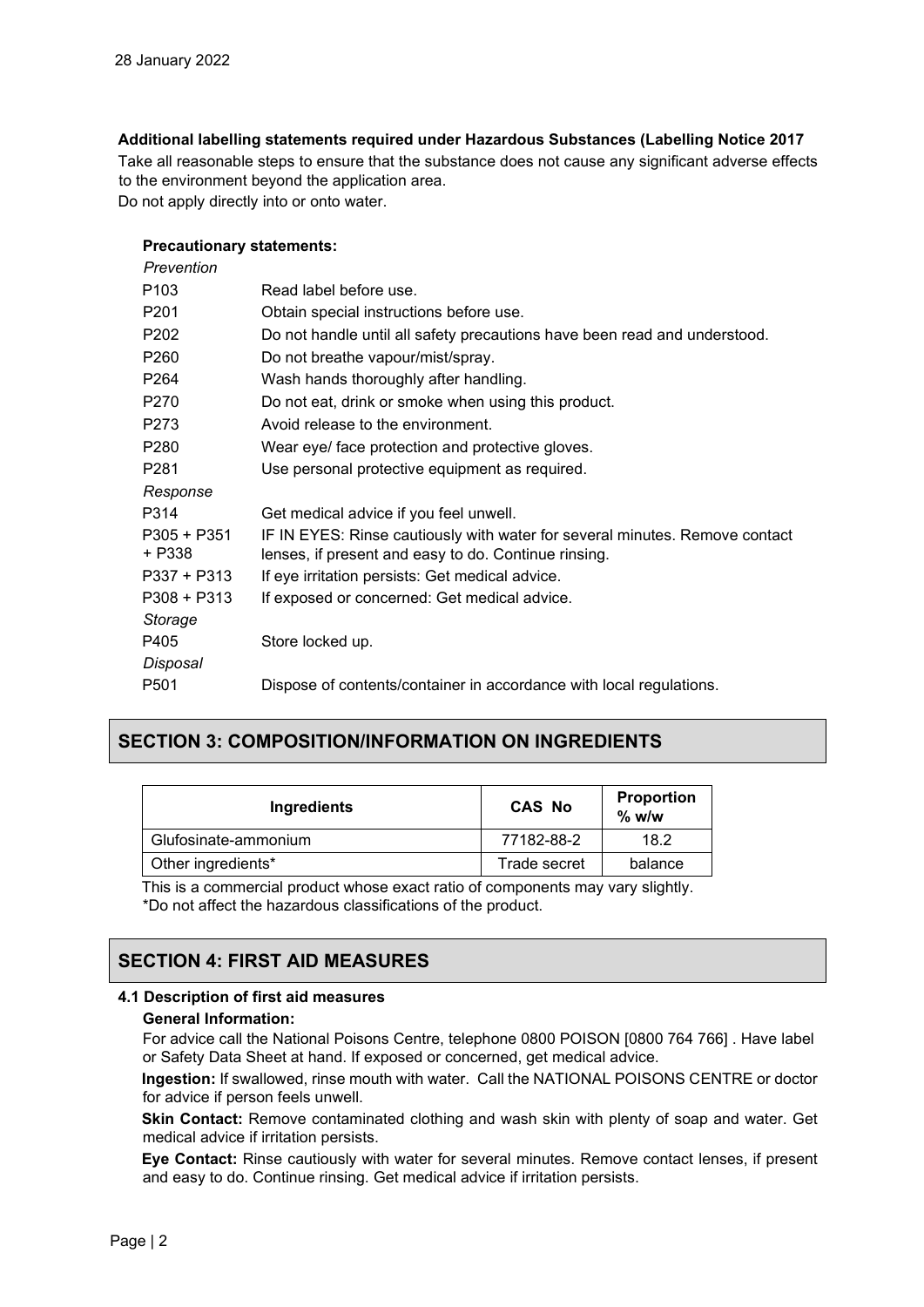## **Additional labelling statements required under Hazardous Substances (Labelling Notice 2017**

Take all reasonable steps to ensure that the substance does not cause any significant adverse effects to the environment beyond the application area.

Do not apply directly into or onto water.

## **Precautionary statements:**

| Prevention            |                                                                                                                                     |
|-----------------------|-------------------------------------------------------------------------------------------------------------------------------------|
| P103                  | Read label before use.                                                                                                              |
| P201                  | Obtain special instructions before use.                                                                                             |
| P202                  | Do not handle until all safety precautions have been read and understood.                                                           |
| P260                  | Do not breathe vapour/mist/spray.                                                                                                   |
| P264                  | Wash hands thoroughly after handling.                                                                                               |
| P270                  | Do not eat, drink or smoke when using this product.                                                                                 |
| P273                  | Avoid release to the environment.                                                                                                   |
| P280                  | Wear eye/ face protection and protective gloves.                                                                                    |
| P281                  | Use personal protective equipment as required.                                                                                      |
| Response              |                                                                                                                                     |
| P314                  | Get medical advice if you feel unwell.                                                                                              |
| P305 + P351<br>+ P338 | IF IN EYES: Rinse cautiously with water for several minutes. Remove contact<br>lenses, if present and easy to do. Continue rinsing. |
| P337 + P313           | If eye irritation persists: Get medical advice.                                                                                     |
| P308 + P313           | If exposed or concerned: Get medical advice.                                                                                        |
| Storage               |                                                                                                                                     |
| P405                  | Store locked up.                                                                                                                    |
| <b>Disposal</b>       |                                                                                                                                     |
| P501                  | Dispose of contents/container in accordance with local regulations.                                                                 |

## **SECTION 3: COMPOSITION/INFORMATION ON INGREDIENTS**

| Ingredients          | <b>CAS No</b> | <b>Proportion</b><br>$%$ w/w |
|----------------------|---------------|------------------------------|
| Glufosinate-ammonium | 77182-88-2    | 18.2                         |
| Other ingredients*   | Trade secret  | balance                      |

This is a commercial product whose exact ratio of components may vary slightly. \*Do not affect the hazardous classifications of the product.

## **SECTION 4: FIRST AID MEASURES**

## **4.1 Description of first aid measures**

### **General Information:**

For advice call the National Poisons Centre, telephone 0800 POISON [0800 764 766] . Have label or Safety Data Sheet at hand. If exposed or concerned, get medical advice.

**Ingestion:** If swallowed, rinse mouth with water. Call the NATIONAL POISONS CENTRE or doctor for advice if person feels unwell.

**Skin Contact:** Remove contaminated clothing and wash skin with plenty of soap and water. Get medical advice if irritation persists.

**Eye Contact:** Rinse cautiously with water for several minutes. Remove contact lenses, if present and easy to do. Continue rinsing. Get medical advice if irritation persists.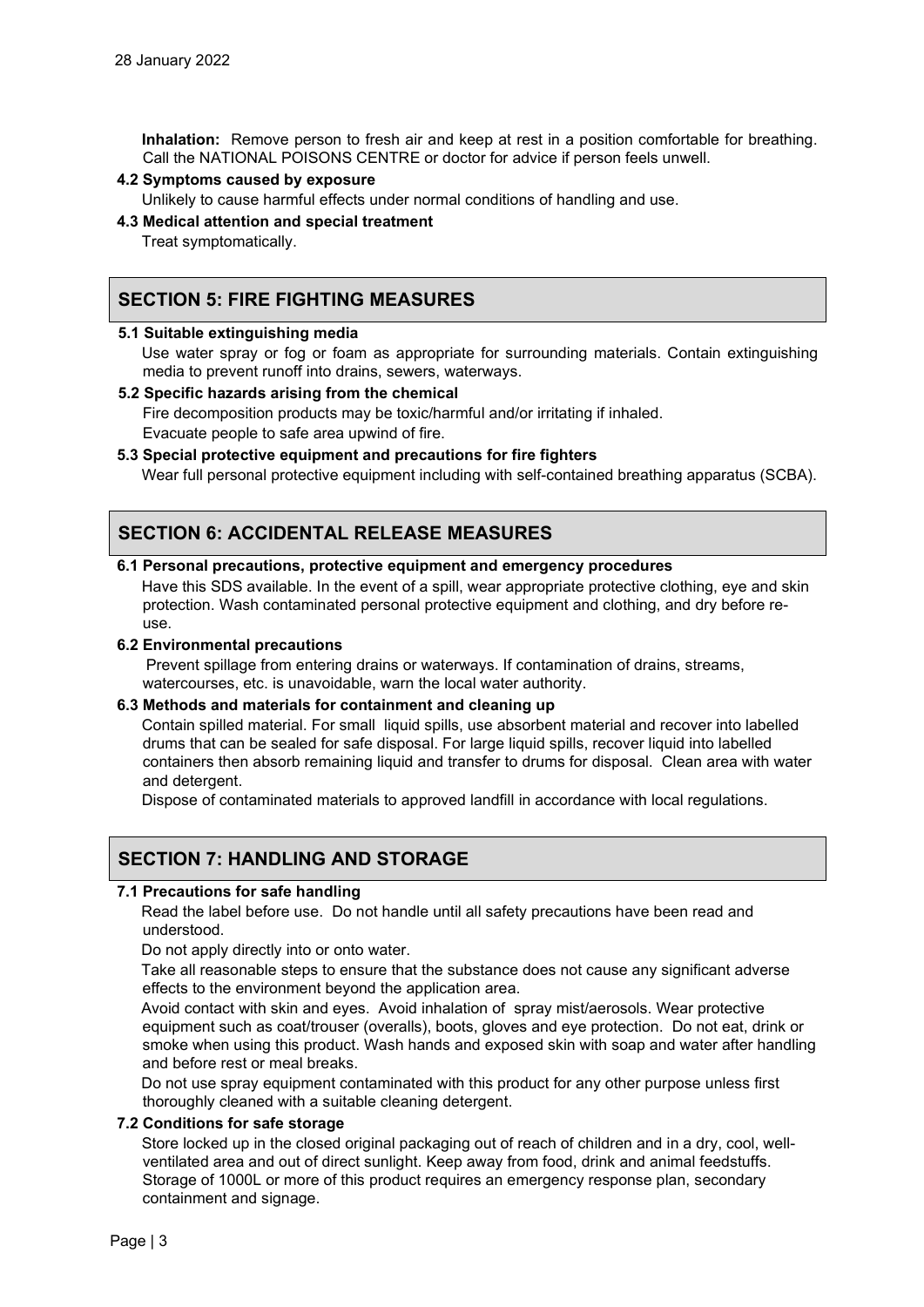**Inhalation:** Remove person to fresh air and keep at rest in a position comfortable for breathing. Call the NATIONAL POISONS CENTRE or doctor for advice if person feels unwell.

## **4.2 Symptoms caused by exposure**

Unlikely to cause harmful effects under normal conditions of handling and use.

#### **4.3 Medical attention and special treatment**

Treat symptomatically.

## **SECTION 5: FIRE FIGHTING MEASURES**

## **5.1 Suitable extinguishing media**

Use water spray or fog or foam as appropriate for surrounding materials. Contain extinguishing media to prevent runoff into drains, sewers, waterways.

## **5.2 Specific hazards arising from the chemical**

Fire decomposition products may be toxic/harmful and/or irritating if inhaled. Evacuate people to safe area upwind of fire.

## **5.3 Special protective equipment and precautions for fire fighters**

Wear full personal protective equipment including with self-contained breathing apparatus (SCBA).

## **SECTION 6: ACCIDENTAL RELEASE MEASURES**

## **6.1 Personal precautions, protective equipment and emergency procedures**

Have this SDS available. In the event of a spill, wear appropriate protective clothing, eye and skin protection. Wash contaminated personal protective equipment and clothing, and dry before reuse.

#### **6.2 Environmental precautions**

Prevent spillage from entering drains or waterways. If contamination of drains, streams, watercourses, etc. is unavoidable, warn the local water authority.

#### **6.3 Methods and materials for containment and cleaning up**

Contain spilled material. For small liquid spills, use absorbent material and recover into labelled drums that can be sealed for safe disposal. For large liquid spills, recover liquid into labelled containers then absorb remaining liquid and transfer to drums for disposal. Clean area with water and detergent.

Dispose of contaminated materials to approved landfill in accordance with local regulations.

## **SECTION 7: HANDLING AND STORAGE**

## **7.1 Precautions for safe handling**

Read the label before use. Do not handle until all safety precautions have been read and understood.

Do not apply directly into or onto water.

Take all reasonable steps to ensure that the substance does not cause any significant adverse effects to the environment beyond the application area.

Avoid contact with skin and eyes. Avoid inhalation of spray mist/aerosols. Wear protective equipment such as coat/trouser (overalls), boots, gloves and eye protection. Do not eat, drink or smoke when using this product. Wash hands and exposed skin with soap and water after handling and before rest or meal breaks.

Do not use spray equipment contaminated with this product for any other purpose unless first thoroughly cleaned with a suitable cleaning detergent.

## **7.2 Conditions for safe storage**

Store locked up in the closed original packaging out of reach of children and in a dry, cool, wellventilated area and out of direct sunlight. Keep away from food, drink and animal feedstuffs. Storage of 1000L or more of this product requires an emergency response plan, secondary containment and signage.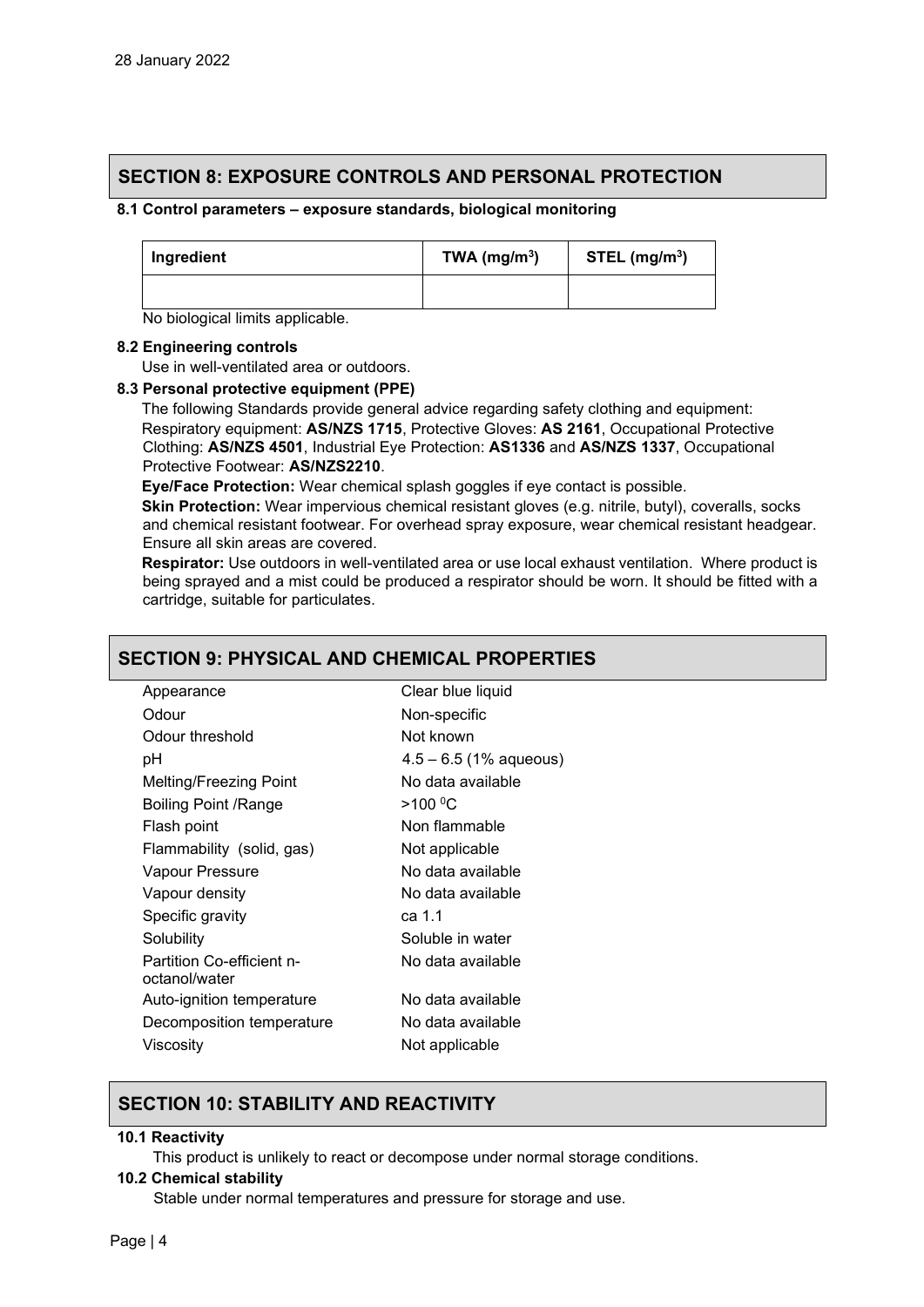## **SECTION 8: EXPOSURE CONTROLS AND PERSONAL PROTECTION**

## **8.1 Control parameters – exposure standards, biological monitoring**

| Ingredient | TWA $(mg/m3)$ | STEL $(mg/m3)$ |
|------------|---------------|----------------|
|            |               |                |

## No biological limits applicable.

## **8.2 Engineering controls**

Use in well-ventilated area or outdoors.

## **8.3 Personal protective equipment (PPE)**

The following Standards provide general advice regarding safety clothing and equipment: Respiratory equipment: **AS/NZS 1715**, Protective Gloves: **AS 2161**, Occupational Protective Clothing: **AS/NZS 4501**, Industrial Eye Protection: **AS1336** and **AS/NZS 1337**, Occupational Protective Footwear: **AS/NZS2210**.

**Eye/Face Protection:** Wear chemical splash goggles if eye contact is possible.

**Skin Protection:** Wear impervious chemical resistant gloves (e.g. nitrile, butyl), coveralls, socks and chemical resistant footwear. For overhead spray exposure, wear chemical resistant headgear. Ensure all skin areas are covered.

**Respirator:** Use outdoors in well-ventilated area or use local exhaust ventilation. Where product is being sprayed and a mist could be produced a respirator should be worn. It should be fitted with a cartridge, suitable for particulates.

## **SECTION 9: PHYSICAL AND CHEMICAL PROPERTIES**

| Appearance                                 | Clear blue liquid        |
|--------------------------------------------|--------------------------|
| Odour                                      | Non-specific             |
| Odour threshold                            | Not known                |
| рH                                         | $4.5 - 6.5$ (1% aqueous) |
| Melting/Freezing Point                     | No data available        |
| Boiling Point /Range                       | >100 °C                  |
| Flash point                                | Non flammable            |
| Flammability (solid, gas)                  | Not applicable           |
| Vapour Pressure                            | No data available        |
| Vapour density                             | No data available        |
| Specific gravity                           | ca 1.1                   |
| Solubility                                 | Soluble in water         |
| Partition Co-efficient n-<br>octanol/water | No data available        |
| Auto-ignition temperature                  | No data available        |
| Decomposition temperature                  | No data available        |
| Viscosity                                  | Not applicable           |
|                                            |                          |

## **SECTION 10: STABILITY AND REACTIVITY**

## **10.1 Reactivity**

This product is unlikely to react or decompose under normal storage conditions.

## **10.2 Chemical stability**

Stable under normal temperatures and pressure for storage and use.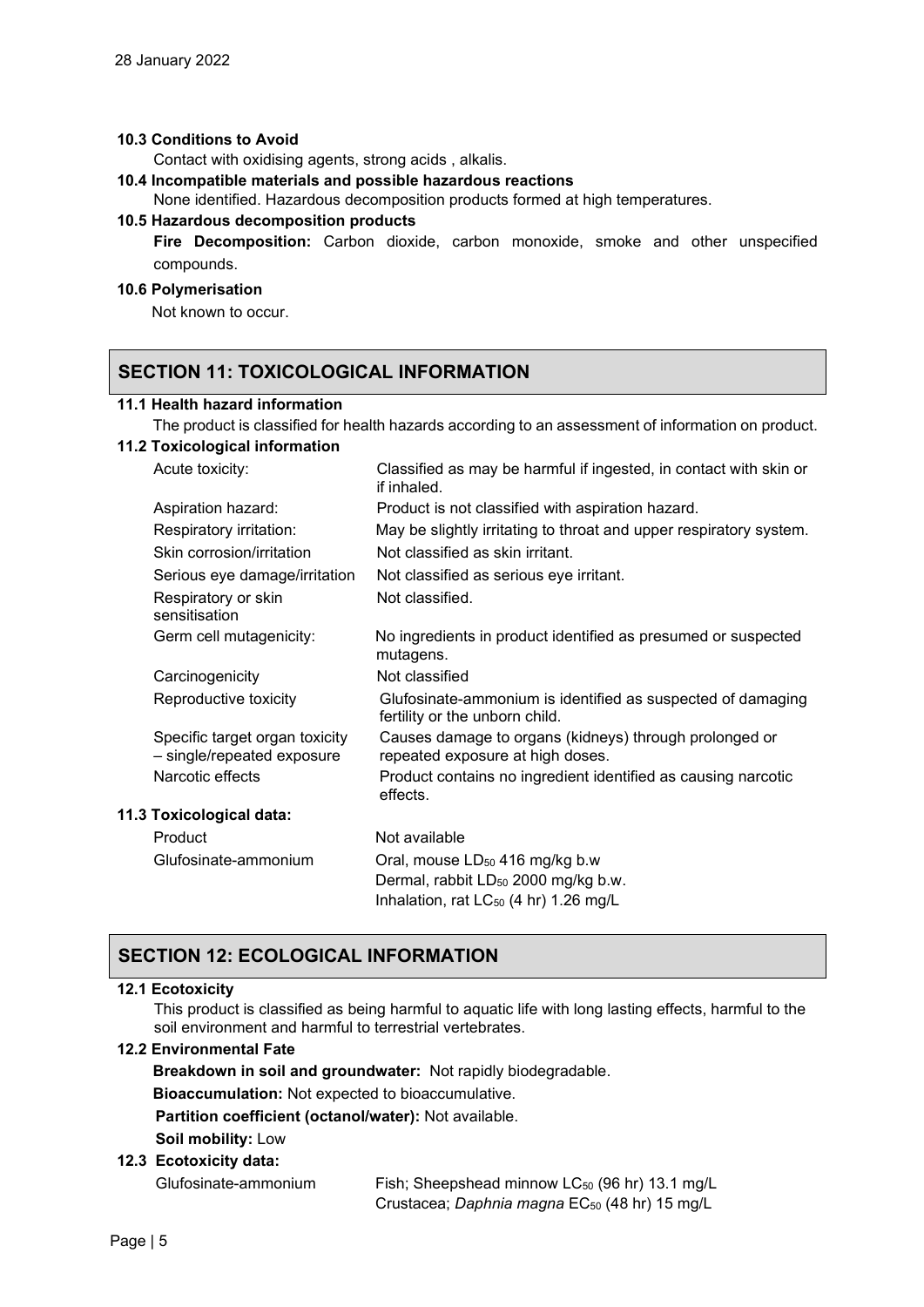## **10.3 Conditions to Avoid**

Contact with oxidising agents, strong acids , alkalis.

**10.4 Incompatible materials and possible hazardous reactions** 

None identified. Hazardous decomposition products formed at high temperatures.

## **10.5 Hazardous decomposition products**

**Fire Decomposition:** Carbon dioxide, carbon monoxide, smoke and other unspecified compounds.

## **10.6 Polymerisation**

Not known to occur.

## **SECTION 11: TOXICOLOGICAL INFORMATION**

## **11.1 Health hazard information**

The product is classified for health hazards according to an assessment of information on product.

## **11.2 Toxicological information**

Acute toxicity: Classified as may be harmful if ingested, in contact with skin or

| <i><b>HUULU WAIVILY.</b></i>                                 | Ulassinca as may be namnar ir ingestea, in contact with sixin or<br>if inhaled.               |
|--------------------------------------------------------------|-----------------------------------------------------------------------------------------------|
| Aspiration hazard:                                           | Product is not classified with aspiration hazard.                                             |
| Respiratory irritation:                                      | May be slightly irritating to throat and upper respiratory system.                            |
| Skin corrosion/irritation                                    | Not classified as skin irritant.                                                              |
| Serious eye damage/irritation                                | Not classified as serious eye irritant.                                                       |
| Respiratory or skin<br>sensitisation                         | Not classified.                                                                               |
| Germ cell mutagenicity:                                      | No ingredients in product identified as presumed or suspected<br>mutagens.                    |
| Carcinogenicity                                              | Not classified                                                                                |
| Reproductive toxicity                                        | Glufosinate-ammonium is identified as suspected of damaging<br>fertility or the unborn child. |
| Specific target organ toxicity<br>- single/repeated exposure | Causes damage to organs (kidneys) through prolonged or<br>repeated exposure at high doses.    |
| Narcotic effects                                             | Product contains no ingredient identified as causing narcotic<br>effects.                     |
| 11.3 Toxicological data:                                     |                                                                                               |
| Product                                                      | Not available                                                                                 |
| Glufosinate-ammonium                                         | Oral, mouse LD <sub>50</sub> 416 mg/kg b.w                                                    |
|                                                              | Dermal, rabbit LD <sub>50</sub> 2000 mg/kg b.w.                                               |
|                                                              | Inhalation, rat LC <sub>50</sub> (4 hr) 1.26 mg/L                                             |

## **SECTION 12: ECOLOGICAL INFORMATION**

## **12.1 Ecotoxicity**

This product is classified as being harmful to aquatic life with long lasting effects, harmful to the soil environment and harmful to terrestrial vertebrates.

## **12.2 Environmental Fate**

**Breakdown in soil and groundwater:** Not rapidly biodegradable.

**Bioaccumulation:** Not expected to bioaccumulative.

**Partition coefficient (octanol/water):** Not available.

**Soil mobility:** Low

## **12.3 Ecotoxicity data:**

Glufosinate-ammonium Fish; Sheepshead minnow LC50 (96 hr) 13.1 mg/L Crustacea; *Daphnia magna* EC<sub>50</sub> (48 hr) 15 mg/L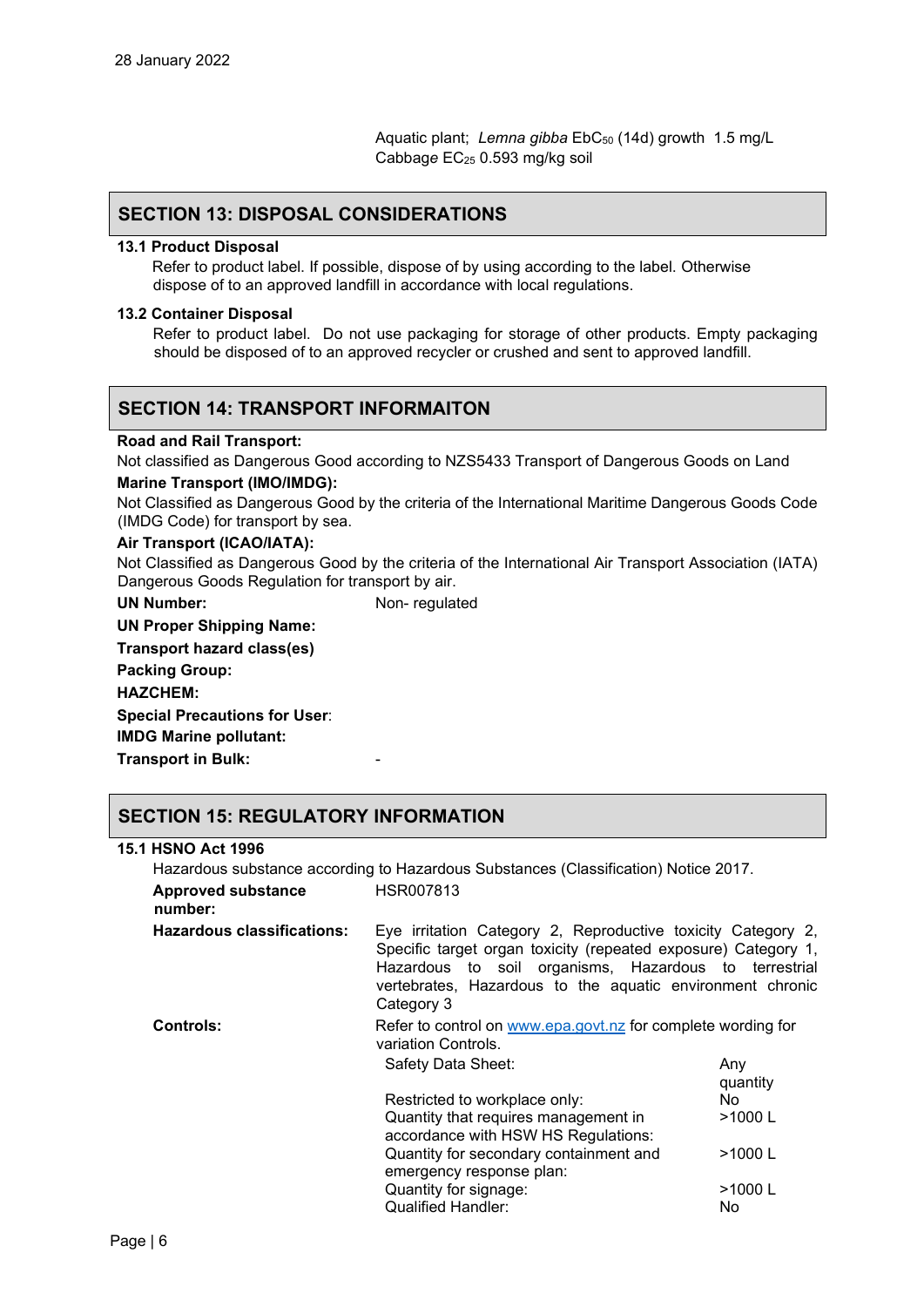Aquatic plant; Lemna gibba EbC<sub>50</sub> (14d) growth 1.5 mg/L Cabbag*e* EC25 0.593 mg/kg soil

## **SECTION 13: DISPOSAL CONSIDERATIONS**

#### **13.1 Product Disposal**

 Refer to product label. If possible, dispose of by using according to the label. Otherwise dispose of to an approved landfill in accordance with local regulations.

#### **13.2 Container Disposal**

Refer to product label. Do not use packaging for storage of other products. Empty packaging should be disposed of to an approved recycler or crushed and sent to approved landfill.

## **SECTION 14: TRANSPORT INFORMAITON**

#### **Road and Rail Transport:**

Not classified as Dangerous Good according to NZS5433 Transport of Dangerous Goods on Land **Marine Transport (IMO/IMDG):** 

Not Classified as Dangerous Good by the criteria of the International Maritime Dangerous Goods Code (IMDG Code) for transport by sea.

## **Air Transport (ICAO/IATA):**

Not Classified as Dangerous Good by the criteria of the International Air Transport Association (IATA) Dangerous Goods Regulation for transport by air.

**UN Number:** Non- regulated

**UN Proper Shipping Name: Transport hazard class(es)**

**Packing Group:**

**HAZCHEM:**

**Special Precautions for User**:

**IMDG Marine pollutant:**

**Transport in Bulk:** -

## **SECTION 15: REGULATORY INFORMATION**

#### **15.1 HSNO Act 1996**

Hazardous substance according to Hazardous Substances (Classification) Notice 2017. **Approved substance number:** HSR007813 **Hazardous classifications:** Eye irritation Category 2, Reproductive toxicity Category 2, Specific target organ toxicity (repeated exposure) Category 1, Hazardous to soil organisms, Hazardous to terrestrial vertebrates, Hazardous to the aquatic environment chronic Category 3 **Controls:** Refer to control on [www.epa.govt.nz](http://www.epa.govt.nz/) for complete wording for variation Controls. Safety Data Sheet: Any quantity Restricted to workplace only: No

emergency response plan:

Quantity that requires management in accordance with HSW HS Regulations:

Quantity for secondary containment and

Quantity for signage:  $>1000$  L Qualified Handler: No

>1000 L

>1000 L